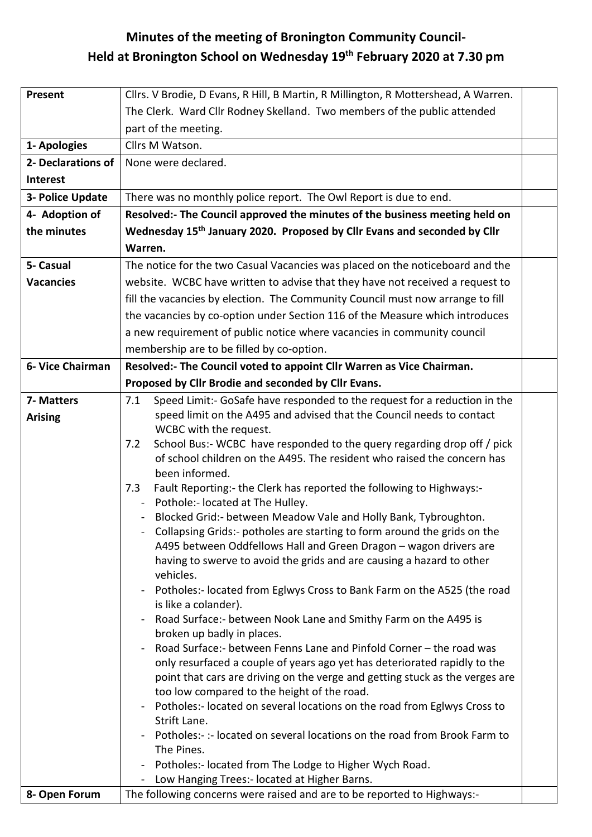## **Minutes of the meeting of Bronington Community Council-Held at Bronington School on Wednesday 19 th February 2020 at 7.30 pm**

| Present            | Cllrs. V Brodie, D Evans, R Hill, B Martin, R Millington, R Mottershead, A Warren.                                                          |  |  |  |
|--------------------|---------------------------------------------------------------------------------------------------------------------------------------------|--|--|--|
|                    | The Clerk. Ward Cllr Rodney Skelland. Two members of the public attended                                                                    |  |  |  |
|                    | part of the meeting.                                                                                                                        |  |  |  |
| 1- Apologies       | Cllrs M Watson.                                                                                                                             |  |  |  |
| 2- Declarations of | None were declared.                                                                                                                         |  |  |  |
| <b>Interest</b>    |                                                                                                                                             |  |  |  |
| 3- Police Update   |                                                                                                                                             |  |  |  |
|                    | There was no monthly police report. The Owl Report is due to end.                                                                           |  |  |  |
| 4- Adoption of     | Resolved:- The Council approved the minutes of the business meeting held on                                                                 |  |  |  |
| the minutes        | Wednesday 15 <sup>th</sup> January 2020. Proposed by Cllr Evans and seconded by Cllr                                                        |  |  |  |
|                    | Warren.                                                                                                                                     |  |  |  |
| 5- Casual          | The notice for the two Casual Vacancies was placed on the noticeboard and the                                                               |  |  |  |
| <b>Vacancies</b>   | website. WCBC have written to advise that they have not received a request to                                                               |  |  |  |
|                    | fill the vacancies by election. The Community Council must now arrange to fill                                                              |  |  |  |
|                    | the vacancies by co-option under Section 116 of the Measure which introduces                                                                |  |  |  |
|                    | a new requirement of public notice where vacancies in community council                                                                     |  |  |  |
|                    | membership are to be filled by co-option.                                                                                                   |  |  |  |
| 6- Vice Chairman   | Resolved:- The Council voted to appoint Cllr Warren as Vice Chairman.                                                                       |  |  |  |
|                    | Proposed by Cllr Brodie and seconded by Cllr Evans.                                                                                         |  |  |  |
| 7- Matters         | Speed Limit:- GoSafe have responded to the request for a reduction in the<br>7.1                                                            |  |  |  |
| <b>Arising</b>     | speed limit on the A495 and advised that the Council needs to contact                                                                       |  |  |  |
|                    | WCBC with the request.                                                                                                                      |  |  |  |
|                    | School Bus:- WCBC have responded to the query regarding drop off / pick<br>7.2                                                              |  |  |  |
|                    | of school children on the A495. The resident who raised the concern has                                                                     |  |  |  |
|                    | been informed.                                                                                                                              |  |  |  |
|                    | Fault Reporting:- the Clerk has reported the following to Highways:-<br>7.3                                                                 |  |  |  |
|                    | Pothole:- located at The Hulley.                                                                                                            |  |  |  |
|                    | Blocked Grid:- between Meadow Vale and Holly Bank, Tybroughton.<br>Collapsing Grids:- potholes are starting to form around the grids on the |  |  |  |
|                    | A495 between Oddfellows Hall and Green Dragon - wagon drivers are                                                                           |  |  |  |
|                    | having to swerve to avoid the grids and are causing a hazard to other                                                                       |  |  |  |
|                    | vehicles.                                                                                                                                   |  |  |  |
|                    | Potholes:- located from Eglwys Cross to Bank Farm on the A525 (the road                                                                     |  |  |  |
|                    | is like a colander).                                                                                                                        |  |  |  |
|                    | Road Surface:- between Nook Lane and Smithy Farm on the A495 is                                                                             |  |  |  |
|                    | broken up badly in places.                                                                                                                  |  |  |  |
|                    | Road Surface: - between Fenns Lane and Pinfold Corner - the road was                                                                        |  |  |  |
|                    | only resurfaced a couple of years ago yet has deteriorated rapidly to the                                                                   |  |  |  |
|                    | point that cars are driving on the verge and getting stuck as the verges are                                                                |  |  |  |
|                    | too low compared to the height of the road.<br>Potholes:- located on several locations on the road from Eglwys Cross to                     |  |  |  |
|                    | Strift Lane.                                                                                                                                |  |  |  |
|                    | Potholes:-:- located on several locations on the road from Brook Farm to                                                                    |  |  |  |
|                    | The Pines.                                                                                                                                  |  |  |  |
|                    | Potholes:- located from The Lodge to Higher Wych Road.                                                                                      |  |  |  |
|                    | Low Hanging Trees:- located at Higher Barns.                                                                                                |  |  |  |
| 8- Open Forum      | The following concerns were raised and are to be reported to Highways:-                                                                     |  |  |  |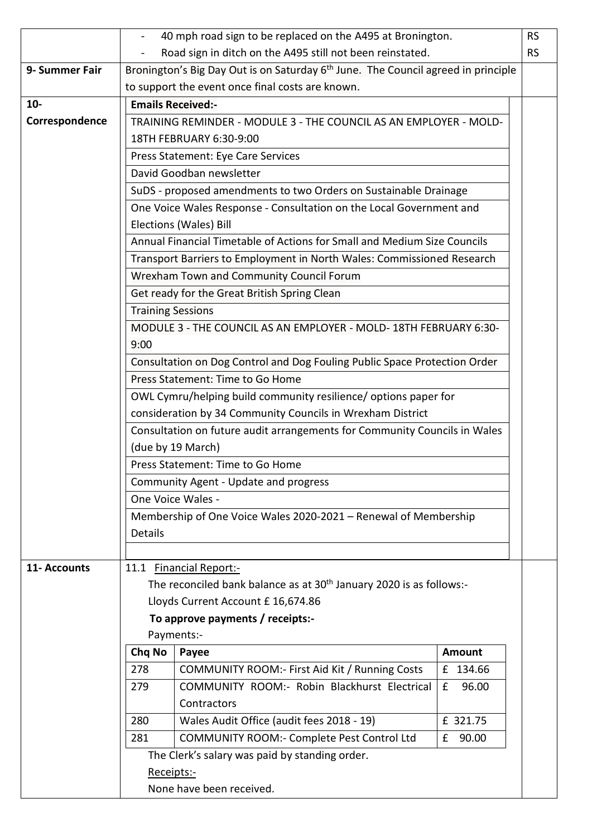|                |                                                                                              | 40 mph road sign to be replaced on the A495 at Bronington.                                    |               | <b>RS</b> |  |  |
|----------------|----------------------------------------------------------------------------------------------|-----------------------------------------------------------------------------------------------|---------------|-----------|--|--|
|                |                                                                                              | Road sign in ditch on the A495 still not been reinstated.                                     |               | <b>RS</b> |  |  |
| 9- Summer Fair |                                                                                              | Bronington's Big Day Out is on Saturday 6 <sup>th</sup> June. The Council agreed in principle |               |           |  |  |
|                |                                                                                              | to support the event once final costs are known.                                              |               |           |  |  |
| $10-$          | <b>Emails Received:-</b>                                                                     |                                                                                               |               |           |  |  |
| Correspondence | TRAINING REMINDER - MODULE 3 - THE COUNCIL AS AN EMPLOYER - MOLD-                            |                                                                                               |               |           |  |  |
|                |                                                                                              | 18TH FEBRUARY 6:30-9:00                                                                       |               |           |  |  |
|                | Press Statement: Eye Care Services                                                           |                                                                                               |               |           |  |  |
|                | David Goodban newsletter<br>SuDS - proposed amendments to two Orders on Sustainable Drainage |                                                                                               |               |           |  |  |
|                |                                                                                              |                                                                                               |               |           |  |  |
|                | One Voice Wales Response - Consultation on the Local Government and                          |                                                                                               |               |           |  |  |
|                | Elections (Wales) Bill                                                                       |                                                                                               |               |           |  |  |
|                |                                                                                              | Annual Financial Timetable of Actions for Small and Medium Size Councils                      |               |           |  |  |
|                |                                                                                              | Transport Barriers to Employment in North Wales: Commissioned Research                        |               |           |  |  |
|                |                                                                                              | Wrexham Town and Community Council Forum                                                      |               |           |  |  |
|                | Get ready for the Great British Spring Clean                                                 |                                                                                               |               |           |  |  |
|                | <b>Training Sessions</b>                                                                     |                                                                                               |               |           |  |  |
|                |                                                                                              | MODULE 3 - THE COUNCIL AS AN EMPLOYER - MOLD-18TH FEBRUARY 6:30-                              |               |           |  |  |
|                | 9:00                                                                                         |                                                                                               |               |           |  |  |
|                |                                                                                              | Consultation on Dog Control and Dog Fouling Public Space Protection Order                     |               |           |  |  |
|                |                                                                                              | Press Statement: Time to Go Home                                                              |               |           |  |  |
|                |                                                                                              | OWL Cymru/helping build community resilience/ options paper for                               |               |           |  |  |
|                |                                                                                              | consideration by 34 Community Councils in Wrexham District                                    |               |           |  |  |
|                |                                                                                              | Consultation on future audit arrangements for Community Councils in Wales                     |               |           |  |  |
|                |                                                                                              | (due by 19 March)                                                                             |               |           |  |  |
|                | Press Statement: Time to Go Home                                                             |                                                                                               |               |           |  |  |
|                |                                                                                              | Community Agent - Update and progress                                                         |               |           |  |  |
|                | One Voice Wales -                                                                            |                                                                                               |               |           |  |  |
|                | Membership of One Voice Wales 2020-2021 - Renewal of Membership                              |                                                                                               |               |           |  |  |
|                | Details                                                                                      |                                                                                               |               |           |  |  |
|                |                                                                                              |                                                                                               |               |           |  |  |
| 11- Accounts   |                                                                                              | 11.1 Financial Report:-                                                                       |               |           |  |  |
|                |                                                                                              | The reconciled bank balance as at 30 <sup>th</sup> January 2020 is as follows:-               |               |           |  |  |
|                |                                                                                              | Lloyds Current Account £ 16,674.86                                                            |               |           |  |  |
|                | To approve payments / receipts:-                                                             |                                                                                               |               |           |  |  |
|                | Chq No                                                                                       | Payments:-<br>Payee                                                                           | <b>Amount</b> |           |  |  |
|                | 278                                                                                          | COMMUNITY ROOM:- First Aid Kit / Running Costs                                                | £ 134.66      |           |  |  |
|                | 279                                                                                          | COMMUNITY ROOM:- Robin Blackhurst Electrical                                                  | 96.00<br>£    |           |  |  |
|                |                                                                                              | Contractors                                                                                   |               |           |  |  |
|                | 280                                                                                          | Wales Audit Office (audit fees 2018 - 19)                                                     | £ 321.75      |           |  |  |
|                | 281                                                                                          | COMMUNITY ROOM:- Complete Pest Control Ltd                                                    | £<br>90.00    |           |  |  |
|                |                                                                                              | The Clerk's salary was paid by standing order.                                                |               |           |  |  |
|                | Receipts:-                                                                                   |                                                                                               |               |           |  |  |
|                | None have been received.                                                                     |                                                                                               |               |           |  |  |
|                |                                                                                              |                                                                                               |               |           |  |  |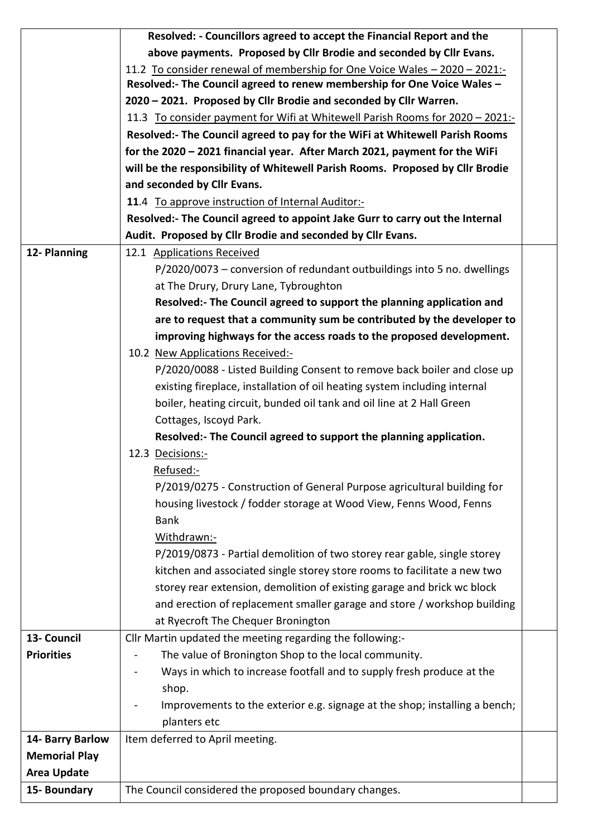|                      | Resolved: - Councillors agreed to accept the Financial Report and the         |  |  |  |
|----------------------|-------------------------------------------------------------------------------|--|--|--|
|                      | above payments. Proposed by Cllr Brodie and seconded by Cllr Evans.           |  |  |  |
|                      | 11.2 To consider renewal of membership for One Voice Wales - 2020 - 2021:-    |  |  |  |
|                      | Resolved:- The Council agreed to renew membership for One Voice Wales -       |  |  |  |
|                      | 2020 - 2021. Proposed by Cllr Brodie and seconded by Cllr Warren.             |  |  |  |
|                      | 11.3 To consider payment for Wifi at Whitewell Parish Rooms for 2020 - 2021:- |  |  |  |
|                      | Resolved:- The Council agreed to pay for the WiFi at Whitewell Parish Rooms   |  |  |  |
|                      | for the 2020 - 2021 financial year. After March 2021, payment for the WiFi    |  |  |  |
|                      | will be the responsibility of Whitewell Parish Rooms. Proposed by Cllr Brodie |  |  |  |
|                      | and seconded by Cllr Evans.                                                   |  |  |  |
|                      | 11.4 To approve instruction of Internal Auditor:-                             |  |  |  |
|                      | Resolved:- The Council agreed to appoint Jake Gurr to carry out the Internal  |  |  |  |
|                      | Audit. Proposed by Cllr Brodie and seconded by Cllr Evans.                    |  |  |  |
| 12- Planning         | 12.1 Applications Received                                                    |  |  |  |
|                      | P/2020/0073 – conversion of redundant outbuildings into 5 no. dwellings       |  |  |  |
|                      | at The Drury, Drury Lane, Tybroughton                                         |  |  |  |
|                      | Resolved:- The Council agreed to support the planning application and         |  |  |  |
|                      | are to request that a community sum be contributed by the developer to        |  |  |  |
|                      | improving highways for the access roads to the proposed development.          |  |  |  |
|                      | 10.2 New Applications Received:-                                              |  |  |  |
|                      | P/2020/0088 - Listed Building Consent to remove back boiler and close up      |  |  |  |
|                      | existing fireplace, installation of oil heating system including internal     |  |  |  |
|                      | boiler, heating circuit, bunded oil tank and oil line at 2 Hall Green         |  |  |  |
|                      | Cottages, Iscoyd Park.                                                        |  |  |  |
|                      | Resolved:- The Council agreed to support the planning application.            |  |  |  |
|                      | 12.3 Decisions:-                                                              |  |  |  |
|                      | Refused:-                                                                     |  |  |  |
|                      | P/2019/0275 - Construction of General Purpose agricultural building for       |  |  |  |
|                      | housing livestock / fodder storage at Wood View, Fenns Wood, Fenns            |  |  |  |
|                      | <b>Bank</b>                                                                   |  |  |  |
|                      | Withdrawn:-                                                                   |  |  |  |
|                      | P/2019/0873 - Partial demolition of two storey rear gable, single storey      |  |  |  |
|                      | kitchen and associated single storey store rooms to facilitate a new two      |  |  |  |
|                      | storey rear extension, demolition of existing garage and brick wc block       |  |  |  |
|                      | and erection of replacement smaller garage and store / workshop building      |  |  |  |
|                      | at Ryecroft The Chequer Bronington                                            |  |  |  |
| 13- Council          | Cllr Martin updated the meeting regarding the following:-                     |  |  |  |
| <b>Priorities</b>    | The value of Bronington Shop to the local community.                          |  |  |  |
|                      | Ways in which to increase footfall and to supply fresh produce at the         |  |  |  |
|                      | shop.                                                                         |  |  |  |
|                      | Improvements to the exterior e.g. signage at the shop; installing a bench;    |  |  |  |
|                      | planters etc                                                                  |  |  |  |
| 14- Barry Barlow     | Item deferred to April meeting.                                               |  |  |  |
| <b>Memorial Play</b> |                                                                               |  |  |  |
| <b>Area Update</b>   |                                                                               |  |  |  |
| 15- Boundary         | The Council considered the proposed boundary changes.                         |  |  |  |
|                      |                                                                               |  |  |  |